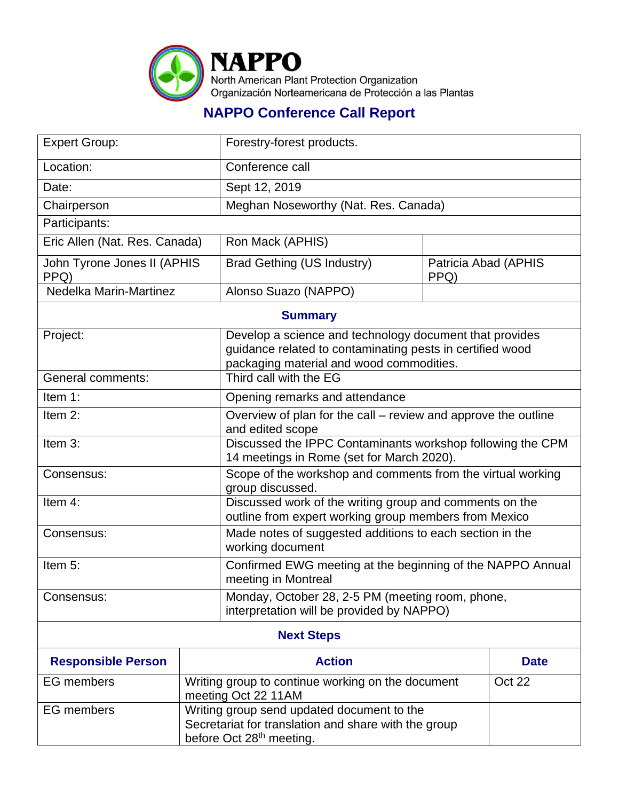

## **NAPPO Conference Call Report**

| <b>Expert Group:</b>                |                                                                                                                                            | Forestry-forest products.                                                                                                                                        |                              |             |  |
|-------------------------------------|--------------------------------------------------------------------------------------------------------------------------------------------|------------------------------------------------------------------------------------------------------------------------------------------------------------------|------------------------------|-------------|--|
| Location:                           |                                                                                                                                            | Conference call                                                                                                                                                  |                              |             |  |
| Date:                               |                                                                                                                                            | Sept 12, 2019                                                                                                                                                    |                              |             |  |
| Chairperson                         |                                                                                                                                            | Meghan Noseworthy (Nat. Res. Canada)                                                                                                                             |                              |             |  |
| Participants:                       |                                                                                                                                            |                                                                                                                                                                  |                              |             |  |
| Eric Allen (Nat. Res. Canada)       |                                                                                                                                            | Ron Mack (APHIS)                                                                                                                                                 |                              |             |  |
| John Tyrone Jones II (APHIS<br>PPQ) |                                                                                                                                            | Brad Gething (US Industry)                                                                                                                                       | Patricia Abad (APHIS<br>PPQ) |             |  |
| Nedelka Marin-Martinez              |                                                                                                                                            | Alonso Suazo (NAPPO)                                                                                                                                             |                              |             |  |
| <b>Summary</b>                      |                                                                                                                                            |                                                                                                                                                                  |                              |             |  |
| Project:                            |                                                                                                                                            | Develop a science and technology document that provides<br>guidance related to contaminating pests in certified wood<br>packaging material and wood commodities. |                              |             |  |
| <b>General comments:</b>            |                                                                                                                                            | Third call with the EG                                                                                                                                           |                              |             |  |
| Item 1:                             |                                                                                                                                            | Opening remarks and attendance                                                                                                                                   |                              |             |  |
| Item $2$ :                          |                                                                                                                                            | Overview of plan for the call – review and approve the outline<br>and edited scope                                                                               |                              |             |  |
| Item 3:                             |                                                                                                                                            | Discussed the IPPC Contaminants workshop following the CPM<br>14 meetings in Rome (set for March 2020).                                                          |                              |             |  |
| Consensus:                          |                                                                                                                                            | Scope of the workshop and comments from the virtual working<br>group discussed.                                                                                  |                              |             |  |
| Item 4:                             |                                                                                                                                            | Discussed work of the writing group and comments on the<br>outline from expert working group members from Mexico                                                 |                              |             |  |
| Consensus:                          |                                                                                                                                            | Made notes of suggested additions to each section in the<br>working document                                                                                     |                              |             |  |
| Item 5:                             |                                                                                                                                            | Confirmed EWG meeting at the beginning of the NAPPO Annual<br>meeting in Montreal                                                                                |                              |             |  |
| Consensus:                          |                                                                                                                                            | Monday, October 28, 2-5 PM (meeting room, phone,<br>interpretation will be provided by NAPPO)                                                                    |                              |             |  |
| <b>Next Steps</b>                   |                                                                                                                                            |                                                                                                                                                                  |                              |             |  |
| <b>Responsible Person</b>           | <b>Action</b>                                                                                                                              |                                                                                                                                                                  |                              | <b>Date</b> |  |
| <b>EG</b> members                   | Writing group to continue working on the document<br>meeting Oct 22 11AM                                                                   |                                                                                                                                                                  | Oct 22                       |             |  |
| <b>EG</b> members                   | Writing group send updated document to the<br>Secretariat for translation and share with the group<br>before Oct 28 <sup>th</sup> meeting. |                                                                                                                                                                  |                              |             |  |